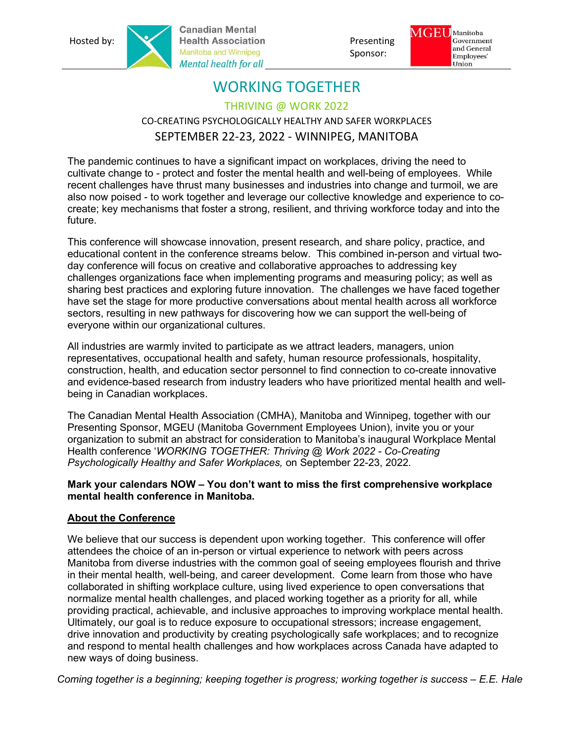**Canadian Mental** Hosted by: Presenting Manitoba and Winnipeg **Exercise Spansor:** Presenting Manitoba and Winnipeg Spansor: Mental health for all





# WORKING TOGETHER

THRIVING @ WORK 2022

## CO-CREATING PSYCHOLOGICALLY HEALTHY AND SAFER WORKPLACES SEPTEMBER 22-23, 2022 - WINNIPEG, MANITOBA

The pandemic continues to have a significant impact on workplaces, driving the need to cultivate change to - protect and foster the mental health and well-being of employees. While recent challenges have thrust many businesses and industries into change and turmoil, we are also now poised - to work together and leverage our collective knowledge and experience to cocreate; key mechanisms that foster a strong, resilient, and thriving workforce today and into the future.

This conference will showcase innovation, present research, and share policy, practice, and educational content in the conference streams below. This combined in-person and virtual twoday conference will focus on creative and collaborative approaches to addressing key challenges organizations face when implementing programs and measuring policy; as well as sharing best practices and exploring future innovation. The challenges we have faced together have set the stage for more productive conversations about mental health across all workforce sectors, resulting in new pathways for discovering how we can support the well-being of everyone within our organizational cultures.

All industries are warmly invited to participate as we attract leaders, managers, union representatives, occupational health and safety, human resource professionals, hospitality, construction, health, and education sector personnel to find connection to co-create innovative and evidence-based research from industry leaders who have prioritized mental health and wellbeing in Canadian workplaces.

The Canadian Mental Health Association (CMHA), Manitoba and Winnipeg, together with our Presenting Sponsor, MGEU (Manitoba Government Employees Union), invite you or your organization to submit an abstract for consideration to Manitoba's inaugural Workplace Mental Health conference 'WORKING TOGETHER: Thriving @ Work 2022 - Co-Creating Psychologically Healthy and Safer Workplaces, on September 22-23, 2022.

#### Mark your calendars NOW – You don't want to miss the first comprehensive workplace mental health conference in Manitoba.

## About the Conference

We believe that our success is dependent upon working together. This conference will offer attendees the choice of an in-person or virtual experience to network with peers across Manitoba from diverse industries with the common goal of seeing employees flourish and thrive in their mental health, well-being, and career development. Come learn from those who have collaborated in shifting workplace culture, using lived experience to open conversations that normalize mental health challenges, and placed working together as a priority for all, while providing practical, achievable, and inclusive approaches to improving workplace mental health. Ultimately, our goal is to reduce exposure to occupational stressors; increase engagement, drive innovation and productivity by creating psychologically safe workplaces; and to recognize and respond to mental health challenges and how workplaces across Canada have adapted to new ways of doing business.

Coming together is a beginning; keeping together is progress; working together is success – E.E. Hale